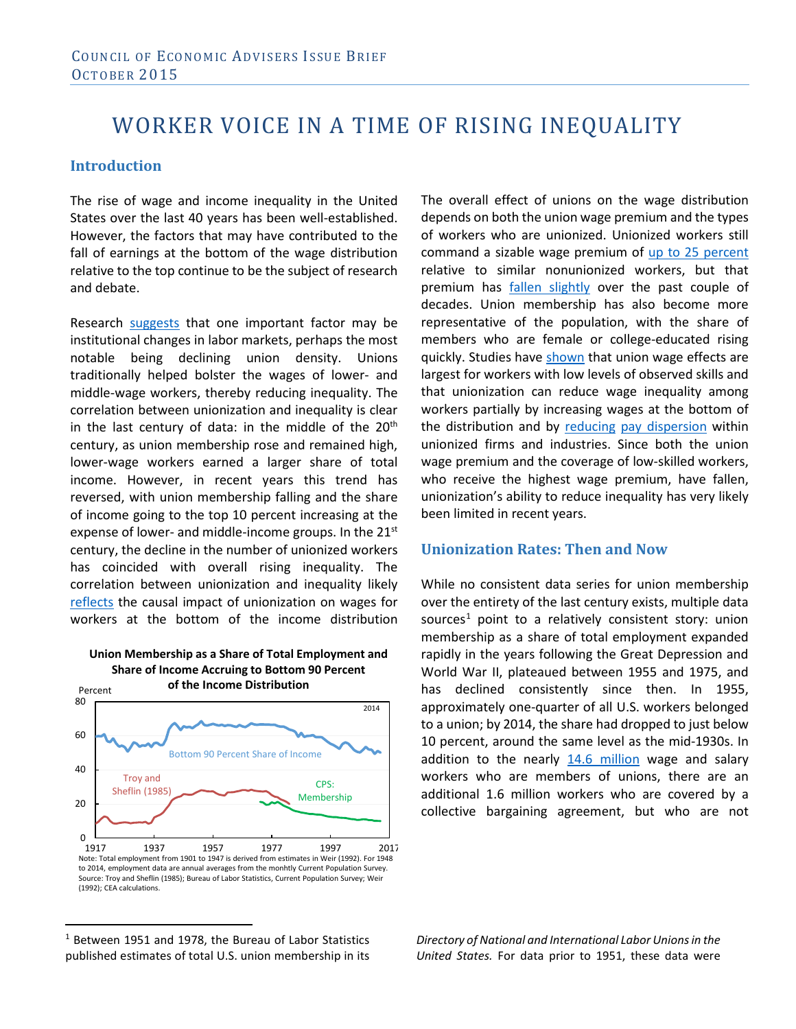# WORKER VOICE IN A TIME OF RISING INEQUALITY

# **Introduction**

The rise of wage and income inequality in the United States over the last 40 years has been well-established. However, the factors that may have contributed to the fall of earnings at the bottom of the wage distribution relative to the top continue to be the subject of research and debate.

Research [suggests](http://davidcard.berkeley.edu/papers/union-wage.pdf) that one important factor may be institutional changes in labor markets, perhaps the most notable being declining union density. Unions traditionally helped bolster the wages of lower- and middle-wage workers, thereby reducing inequality. The correlation between unionization and inequality is clear in the last century of data: in the middle of the  $20<sup>th</sup>$ century, as union membership rose and remained high, lower-wage workers earned a larger share of total income. However, in recent years this trend has reversed, with union membership falling and the share of income going to the top 10 percent increasing at the expense of lower- and middle-income groups. In the 21<sup>st</sup> century, the decline in the number of unionized workers has coincided with overall rising inequality. The correlation between unionization and inequality likely [reflects](http://davidcard.berkeley.edu/papers/union-wage-ineq.pdf) the causal impact of unionization on wages for workers at the bottom of the income distribution





<span id="page-0-0"></span><sup>1</sup> Between 1951 and 1978, the Bureau of Labor Statistics published estimates of total U.S. union membership in its  $\overline{a}$ 

The overall effect of unions on the wage distribution depends on both the union wage premium and the types of workers who are unionized. Unionized workers still command a sizable wage premium of [up to 25 percent](http://www.jstor.org/stable/1803398) relative to similar nonunionized workers, but that premium has [fallen slightly](http://eprints.lse.ac.uk/19987/1/The_Union_Wage_Premium_in_the_US_and_the_UK.pdf) over the past couple of decades. Union membership has also become more representative of the population, with the share of members who are female or college-educated rising quickly. Studies have [shown](http://davidcard.berkeley.edu/papers/union-struct-wage.pdf) that union wage effects are largest for workers with low levels of observed skills and that unionization can reduce wage inequality among workers partially by increasing wages at the bottom of the distribution and by [reducing](http://www.jstor.org/stable/2522631) [pay dispersion](http://www.jstor.org/stable/2522290) within unionized firms and industries. Since both the union wage premium and the coverage of low-skilled workers, who receive the highest wage premium, have fallen, unionization's ability to reduce inequality has very likely been limited in recent years.

### **Unionization Rates: Then and Now**

While no consistent data series for union membership over the entirety of the last century exists, multiple data sources<sup>[1](#page-0-0)</sup> point to a relatively consistent story: union membership as a share of total employment expanded rapidly in the years following the Great Depression and World War II, plateaued between 1955 and 1975, and has declined consistently since then. In 1955, approximately one-quarter of all U.S. workers belonged to a union; by 2014, the share had dropped to just below 10 percent, around the same level as the mid-1930s. In addition to the nearly [14.6 million](http://www.bls.gov/news.release/union2.t01.htm%23union_a01.f.2) wage and salary workers who are members of unions, there are an additional 1.6 million workers who are covered by a collective bargaining agreement, but who are not

*Directory of National and International Labor Unions in the United States.* For data prior to 1951, these data were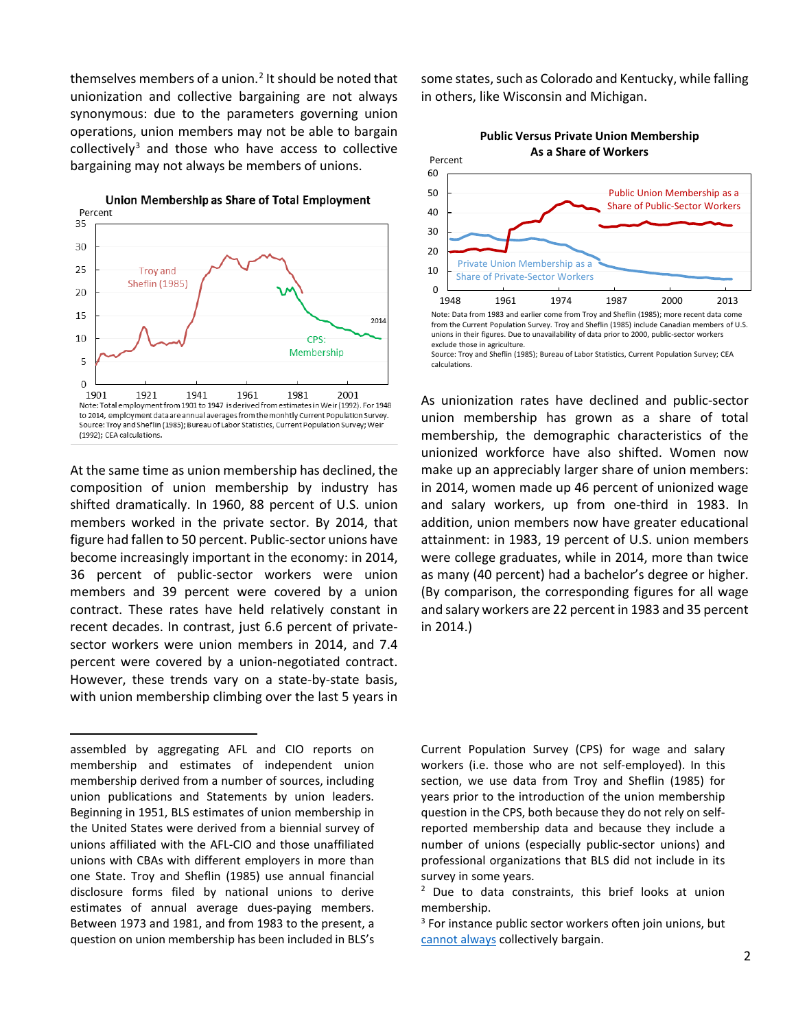themselves members of a union. $<sup>2</sup>$  $<sup>2</sup>$  $<sup>2</sup>$  It should be noted that</sup> unionization and collective bargaining are not always synonymous: due to the parameters governing union operations, union members may not be able to bargain collectively $3$  and those who have access to collective bargaining may not always be members of unions.



At the same time as union membership has declined, the composition of union membership by industry has shifted dramatically. In 1960, 88 percent of U.S. union members worked in the private sector. By 2014, that figure had fallen to 50 percent. Public-sector unions have become increasingly important in the economy: in 2014, 36 percent of public-sector workers were union members and 39 percent were covered by a union contract. These rates have held relatively constant in recent decades. In contrast, just 6.6 percent of privatesector workers were union members in 2014, and 7.4 percent were covered by a union-negotiated contract. However, these trends vary on a state-by-state basis, with union membership climbing over the last 5 years in

l

some states, such as Colorado and Kentucky, while falling in others, like Wisconsin and Michigan.



from the Current Population Survey. Troy and Sheflin (1985) include Canadian members of U.S. unions in their figures. Due to unavailability of data prior to 2000, public-sector workers exclude those in agriculture.

Source: Troy and Sheflin (1985); Bureau of Labor Statistics, Current Population Survey; CEA calculations.

As unionization rates have declined and public-sector union membership has grown as a share of total membership, the demographic characteristics of the unionized workforce have also shifted. Women now make up an appreciably larger share of union members: in 2014, women made up 46 percent of unionized wage and salary workers, up from one-third in 1983. In addition, union members now have greater educational attainment: in 1983, 19 percent of U.S. union members were college graduates, while in 2014, more than twice as many (40 percent) had a bachelor's degree or higher. (By comparison, the corresponding figures for all wage and salary workers are 22 percent in 1983 and 35 percent in 2014.)

Current Population Survey (CPS) for wage and salary workers (i.e. those who are not self-employed). In this section, we use data from Troy and Sheflin (1985) for years prior to the introduction of the union membership question in the CPS, both because they do not rely on selfreported membership data and because they include a number of unions (especially public-sector unions) and professional organizations that BLS did not include in its survey in some years.

<sup>2</sup> Due to data constraints, this brief looks at union membership.

 $3$  For instance public sector workers often join unions, but [cannot always](https://www.aeaweb.org/aea/2013conference/program/retrieve.php?pdfid=326) collectively bargain.

<span id="page-1-1"></span><span id="page-1-0"></span>assembled by aggregating AFL and CIO reports on membership and estimates of independent union membership derived from a number of sources, including union publications and Statements by union leaders. Beginning in 1951, BLS estimates of union membership in the United States were derived from a biennial survey of unions affiliated with the AFL-CIO and those unaffiliated unions with CBAs with different employers in more than one State. Troy and Sheflin (1985) use annual financial disclosure forms filed by national unions to derive estimates of annual average dues-paying members. Between 1973 and 1981, and from 1983 to the present, a question on union membership has been included in BLS's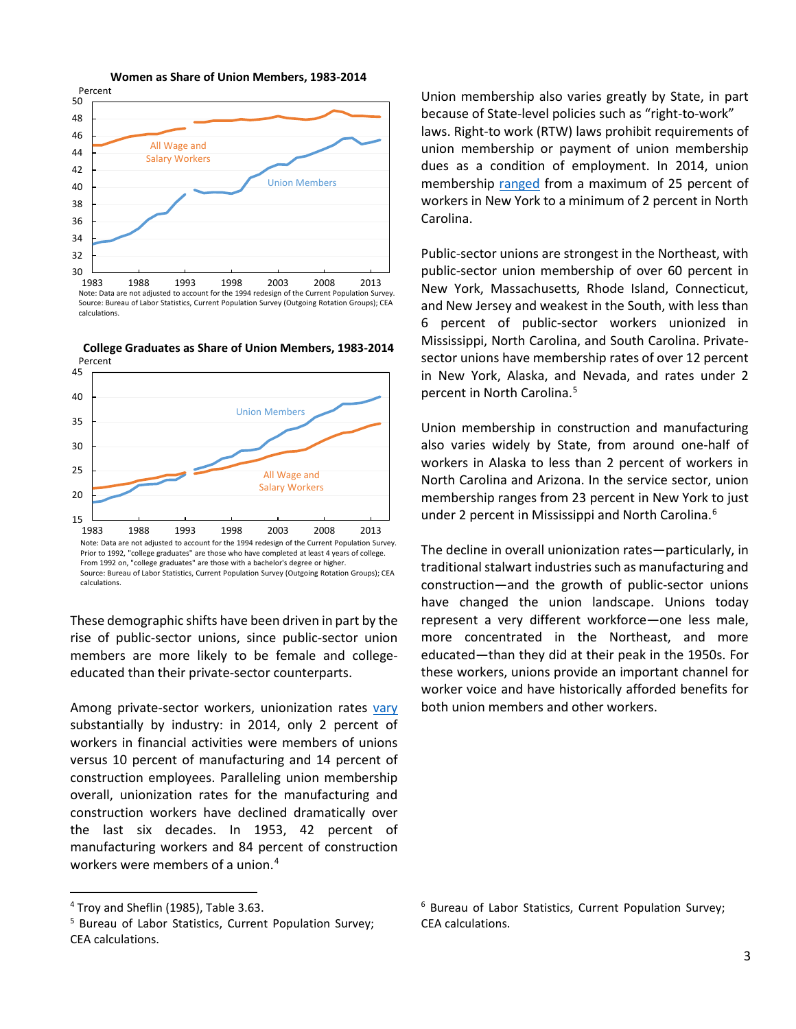

Source: Bureau of Labor Statistics, Current Population Survey (Outgoing Rotation Groups); CEA calculations.



**College Graduates as Share of Union Members, 1983-2014** Percent

45

These demographic shifts have been driven in part by the rise of public-sector unions, since public-sector union members are more likely to be female and collegeeducated than their private-sector counterparts.

Among private-sector workers, unionization rates [vary](http://www.bls.gov/news.release/union2.t03.htm) substantially by industry: in 2014, only 2 percent of workers in financial activities were members of unions versus 10 percent of manufacturing and 14 percent of construction employees. Paralleling union membership overall, unionization rates for the manufacturing and construction workers have declined dramatically over the last six decades. In 1953, 42 percent of manufacturing workers and 84 percent of construction workers were members of a union.[4](#page-2-0)

 $\overline{\phantom{a}}$ 

Union membership also varies greatly by State, in part because of State-level policies such as "right-to-work" laws. Right-to work (RTW) laws prohibit requirements of union membership or payment of union membership dues as a condition of employment. In 2014, union membership [ranged](http://www.bls.gov/news.release/pdf/union2.pdf) from a maximum of 25 percent of workers in New York to a minimum of 2 percent in North Carolina.

Public-sector unions are strongest in the Northeast, with public-sector union membership of over 60 percent in New York, Massachusetts, Rhode Island, Connecticut, and New Jersey and weakest in the South, with less than 6 percent of public-sector workers unionized in Mississippi, North Carolina, and South Carolina. Privatesector unions have membership rates of over 12 percent in New York, Alaska, and Nevada, and rates under 2 percent in North Carolina.<sup>[5](#page-2-1)</sup>

Union membership in construction and manufacturing also varies widely by State, from around one-half of workers in Alaska to less than 2 percent of workers in North Carolina and Arizona. In the service sector, union membership ranges from 23 percent in New York to just under 2 percent in Mississippi and North Carolina.<sup>[6](#page-2-0)</sup>

The decline in overall unionization rates—particularly, in traditional stalwart industries such as manufacturing and construction—and the growth of public-sector unions have changed the union landscape. Unions today represent a very different workforce—one less male, more concentrated in the Northeast, and more educated—than they did at their peak in the 1950s. For these workers, unions provide an important channel for worker voice and have historically afforded benefits for both union members and other workers.

<span id="page-2-0"></span><sup>4</sup> Troy and Sheflin (1985), Table 3.63.

<span id="page-2-1"></span><sup>5</sup> Bureau of Labor Statistics, Current Population Survey; CEA calculations.

<sup>6</sup> Bureau of Labor Statistics, Current Population Survey; CEA calculations.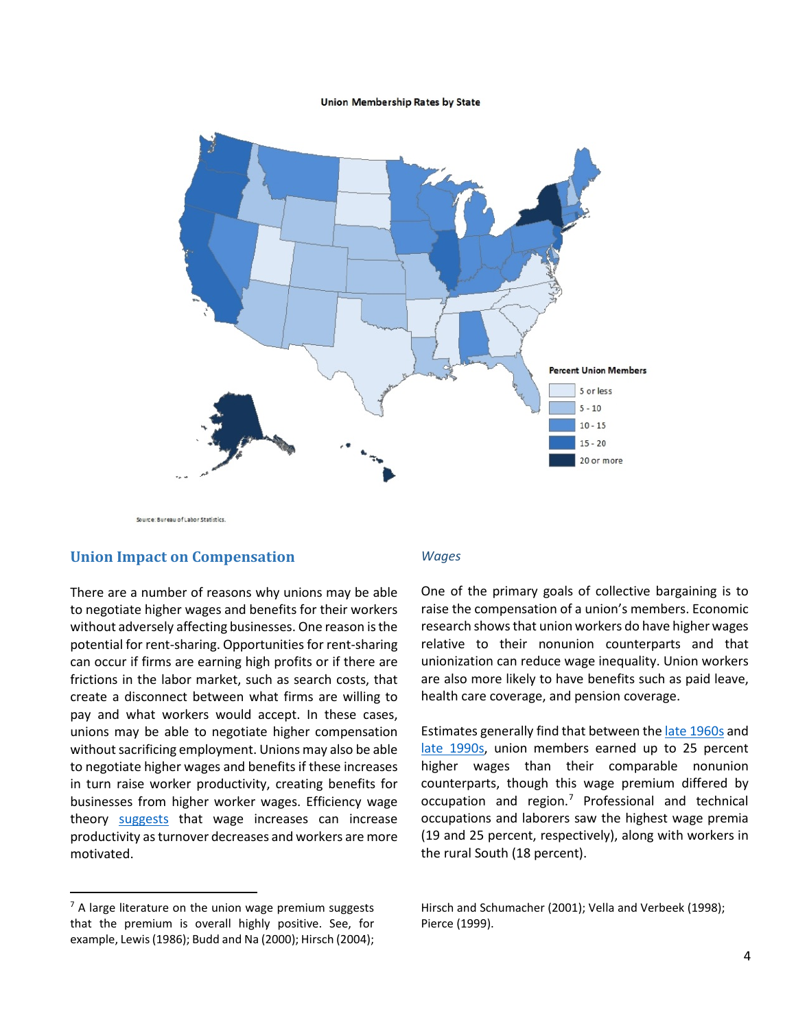#### Union Membership Rates by State



Source: Bureau of Labor Statistics

#### **Union Impact on Compensation**

There are a number of reasons why unions may be able to negotiate higher wages and benefits for their workers without adversely affecting businesses. One reason is the potential for rent-sharing. Opportunities for rent-sharing can occur if firms are earning high profits or if there are frictions in the labor market, such as search costs, that create a disconnect between what firms are willing to pay and what workers would accept. In these cases, unions may be able to negotiate higher compensation without sacrificing employment. Unions may also be able to negotiate higher wages and benefits if these increases in turn raise worker productivity, creating benefits for businesses from higher worker wages. Efficiency wage theory [suggests](https://books.google.com/books?hl=en&lr=&id=zSfP-8iT_TAC&oi=fnd&pg=PR9&ots=Hd0DaOLC-s&sig=_SLuENC9H8cOYh2DzRnudBmAOB4%23v=onepage&q&f=false) that wage increases can increase productivity as turnover decreases and workers are more motivated.

#### <span id="page-3-0"></span> $<sup>7</sup>$  A large literature on the union wage premium suggests</sup> that the premium is overall highly positive. See, for example, Lewis (1986); Budd and Na (2000); Hirsch (2004);

 $\overline{\phantom{a}}$ 

#### *Wages*

One of the primary goals of collective bargaining is to raise the compensation of a union's members. Economic research shows that union workers do have higher wages relative to their nonunion counterparts and that unionization can reduce wage inequality. Union workers are also more likely to have benefits such as paid leave, health care coverage, and pension coverage.

Estimates generally find that between th[e late 1960s](http://www.jstor.org/stable/1803398) and [late 1990s,](http://www.epi.org/files/page/-/old/briefingpapers/143/bp143.pdf) union members earned up to 25 percent higher wages than their comparable nonunion counterparts, though this wage premium differed by occupation and region.[7](#page-3-0) Professional and technical occupations and laborers saw the highest wage premia (19 and 25 percent, respectively), along with workers in the rural South (18 percent).

Hirsch and Schumacher (2001); Vella and Verbeek (1998); Pierce (1999).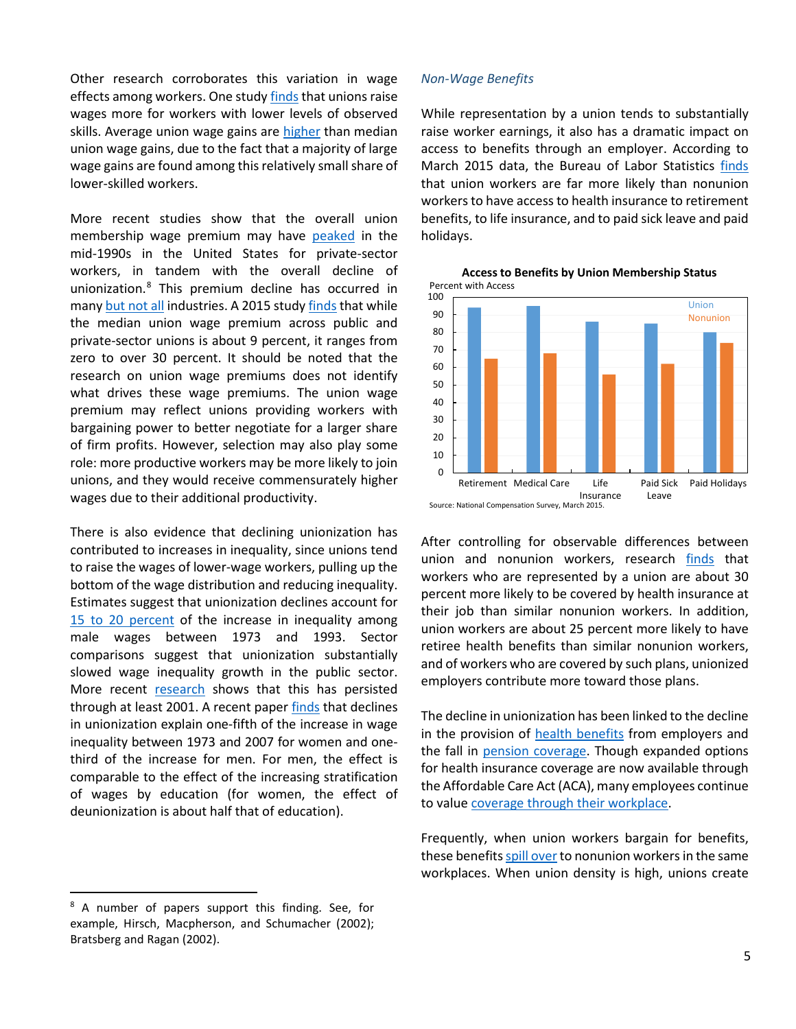Other research corroborates this variation in wage effects among workers. One study finds that unions raise wages more for workers with lower levels of observed skills. Average union wage gains are [higher](http://onlinelibrary.wiley.com/doi/10.1002/(SICI)1099-1255(199803/04)13:2%3C163::AID-JAE460%3E3.0.CO;2-Y/abstract) than median union wage gains, due to the fact that a majority of large wage gains are found among this relatively small share of lower-skilled workers.

More recent studies show that the overall union membership wage premium may have [peaked](http://eprints.lse.ac.uk/19987/1/The_Union_Wage_Premium_in_the_US_and_the_UK.pdf) in the mid-1990s in the United States for private-sector workers, in tandem with the overall decline of unionization.[8](#page-4-0) This premium decline has occurred in many [but not all](http://www.jstor.org/stable/3270649) industries. A 2015 stud[y finds](http://www.nber.org/papers/w21034.pdf) that while the median union wage premium across public and private-sector unions is about 9 percent, it ranges from zero to over 30 percent. It should be noted that the research on union wage premiums does not identify what drives these wage premiums. The union wage premium may reflect unions providing workers with bargaining power to better negotiate for a larger share of firm profits. However, selection may also play some role: more productive workers may be more likely to join unions, and they would receive commensurately higher wages due to their additional productivity.

There is also evidence that declining unionization has contributed to increases in inequality, since unions tend to raise the wages of lower-wage workers, pulling up the bottom of the wage distribution and reducing inequality. Estimates suggest that unionization declines account for [15 to 20 percent](http://davidcard.berkeley.edu/papers/union-wage-ineq.pdf) of the increase in inequality among male wages between 1973 and 1993. Sector comparisons suggest that unionization substantially slowed wage inequality growth in the public sector. More recent [research](http://davidcard.berkeley.edu/papers/union-wage.pdf) shows that this has persisted through at least 2001. A recent paper [finds](http://www.asanet.org/images/journals/docs/pdf/asr/WesternandRosenfeld.pdf) that declines in unionization explain one-fifth of the increase in wage inequality between 1973 and 2007 for women and onethird of the increase for men. For men, the effect is comparable to the effect of the increasing stratification of wages by education (for women, the effect of deunionization is about half that of education).

<span id="page-4-0"></span><sup>8</sup> A number of papers support this finding. See, for example, Hirsch, Macpherson, and Schumacher (2002); Bratsberg and Ragan (2002).

 $\overline{\phantom{a}}$ 

#### *Non-Wage Benefits*

While representation by a union tends to substantially raise worker earnings, it also has a dramatic impact on access to benefits through an employer. According to March 2015 data, the Bureau of Labor Statistics [finds](http://www.bls.gov/news.release/pdf/ebs2.pdf) that union workers are far more likely than nonunion workers to have access to health insurance to retirement benefits, to life insurance, and to paid sick leave and paid holidays.



**Access to Benefits by Union Membership Status** Percent with Access

After controlling for observable differences between union and nonunion workers, research [finds](http://www-personal.umich.edu/%7Ejdinardo/Pubs/bdv2002.pdf) that workers who are represented by a union are about 30 percent more likely to be covered by health insurance at their job than similar nonunion workers. In addition, union workers are about 25 percent more likely to have retiree health benefits than similar nonunion workers, and of workers who are covered by such plans, unionized employers contribute more toward those plans.

The decline in unionization has been linked to the decline in the provision of [health benefits](http://www-personal.umich.edu/%7Ejdinardo/Pubs/bdv2002.pdf) from employers and the fall in [pension coverage.](http://www.jstor.org/stable/2117458?seq=1%23page_scan_tab_contents) Though expanded options for health insurance coverage are now available through the Affordable Care Act (ACA), many employees continue to valu[e coverage through their workplace.](http://www.ebri.org/pdf/PR1111.WBS.18Feb15.pdf)

Frequently, when union workers bargain for benefits, these benefits spill over to nonunion workers in the same workplaces. When union density is high, unions create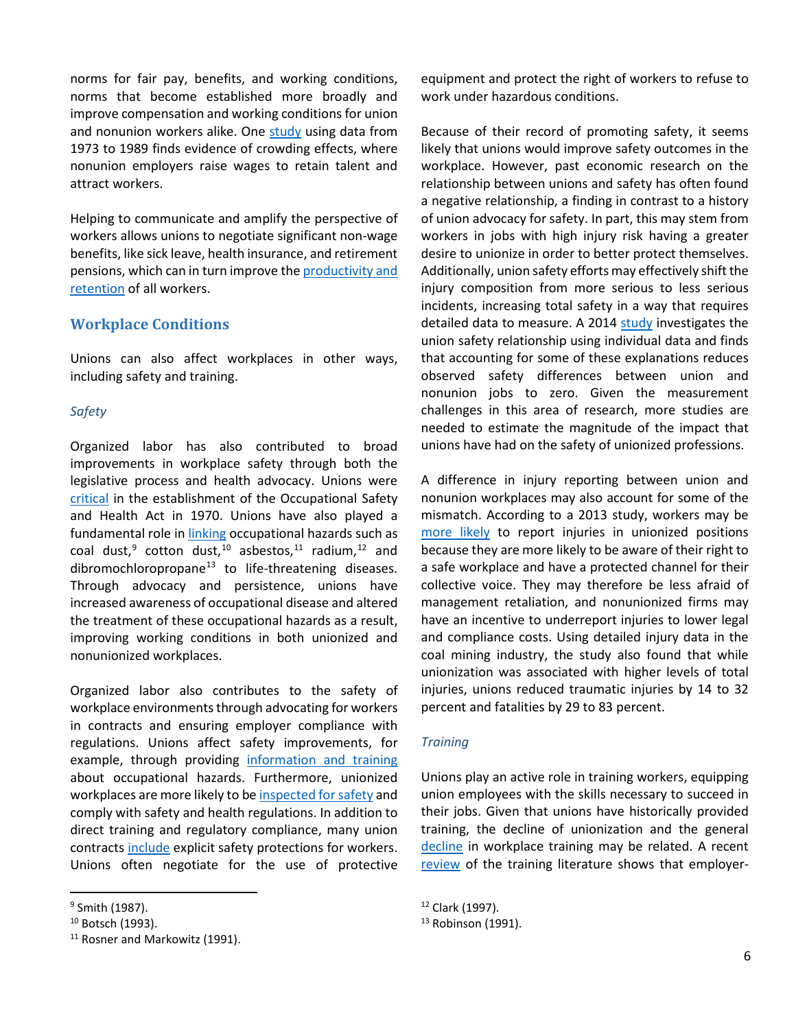norms for fair pay, benefits, and working conditions, norms that become established more broadly and improve compensation and working conditions for union and nonunion workers alike. One [study](http://ilr.sagepub.com/content/49/1/20.short) using data from 1973 to 1989 finds evidence of crowding effects, where nonunion employers raise wages to retain talent and attract workers.

Helping to communicate and amplify the perspective of workers allows unions to negotiate significant non-wage benefits, like sick leave, health insurance, and retirement pensions, which can in turn improve th[e productivity and](https://www.whitehouse.gov/sites/default/files/docs/2015_erp_chapter_4.pdf)  [retention](https://www.whitehouse.gov/sites/default/files/docs/2015_erp_chapter_4.pdf) of all workers.

# **Workplace Conditions**

Unions can also affect workplaces in other ways, including safety and training.

## *Safety*

Organized labor has also contributed to broad improvements in workplace safety through both the legislative process and health advocacy. Unions were [critical](https://books.google.com/books?hl=en&lr=&id=gG8y7etDrwwC&oi=fnd&pg=PA121&dq=Schurman,+Weil,+Landsbergis+and+Israel+1998&ots=TlO01Wr-ir&sig=zBbSpKzu-VVavIgiRon1LNepS4s%23v=onepage&q&f=false) in the establishment of the Occupational Safety and Health Act in 1970. Unions have also played a fundamental role in *linking* occupational hazards such as coal dust,<sup>[9](#page-5-0)</sup> cotton dust,<sup>[10](#page-5-1)</sup> asbestos,<sup>[11](#page-5-2)</sup> radium,<sup>[12](#page-5-0)</sup> and dibromochloropropane<sup>[13](#page-5-1)</sup> to life-threatening diseases. Through advocacy and persistence, unions have increased awareness of occupational disease and altered the treatment of these occupational hazards as a result, improving working conditions in both unionized and nonunionized workplaces.

Organized labor also contributes to the safety of workplace environments through advocating for workers in contracts and ensuring employer compliance with regulations. Unions affect safety improvements, for example, through providing [information and training](http://www.cdc.gov/niosh/docs/98-145/pdfs/98-145.pdf) about occupational hazards. Furthermore, unionized workplaces are more likely to b[e inspected for safety](http://link.springer.com/article/10.1007%2FBF02685455) and comply with safety and health regulations. In addition to direct training and regulatory compliance, many union contracts [include](http://www.ilocis.org/documents/chpt21e.htm) explicit safety protections for workers. Unions often negotiate for the use of protective

 $\overline{\phantom{a}}$ 

equipment and protect the right of workers to refuse to work under hazardous conditions.

Because of their record of promoting safety, it seems likely that unions would improve safety outcomes in the workplace. However, past economic research on the relationship between unions and safety has often found a negative relationship, a finding in contrast to a history of union advocacy for safety. In part, this may stem from workers in jobs with high injury risk having a greater desire to unionize in order to better protect themselves. Additionally, union safety efforts may effectively shift the injury composition from more serious to less serious incidents, increasing total safety in a way that requires detailed data to measure. A 2014 [study](http://ilr.sagepub.com/content/68/1/153.short) investigates the union safety relationship using individual data and finds that accounting for some of these explanations reduces observed safety differences between union and nonunion jobs to zero. Given the measurement challenges in this area of research, more studies are needed to estimate the magnitude of the impact that unions have had on the safety of unionized professions.

A difference in injury reporting between union and nonunion workplaces may also account for some of the mismatch. According to a 2013 study, workers may be [more likely](http://ilr.sagepub.com/content/66/1/88.refs) to report injuries in unionized positions because they are more likely to be aware of their right to a safe workplace and have a protected channel for their collective voice. They may therefore be less afraid of management retaliation, and nonunionized firms may have an incentive to underreport injuries to lower legal and compliance costs. Using detailed injury data in the coal mining industry, the study also found that while unionization was associated with higher levels of total injuries, unions reduced traumatic injuries by 14 to 32 percent and fatalities by 29 to 83 percent.

### *Training*

Unions play an active role in training workers, equipping union employees with the skills necessary to succeed in their jobs. Given that unions have historically provided training, the decline of unionization and the general [decline](https://www.whitehouse.gov/sites/default/files/docs/150423_upskill_report_final_3.pdf) in workplace training may be related. A recent [review](http://ilr.sagepub.com/content/68/2/251.abstract) of the training literature shows that employer-

<span id="page-5-0"></span><sup>9</sup> Smith (1987).

<span id="page-5-1"></span><sup>&</sup>lt;sup>10</sup> Botsch (1993).

<span id="page-5-2"></span><sup>&</sup>lt;sup>11</sup> Rosner and Markowitz (1991).

<sup>12</sup> Clark (1997).

 $13$  Robinson (1991).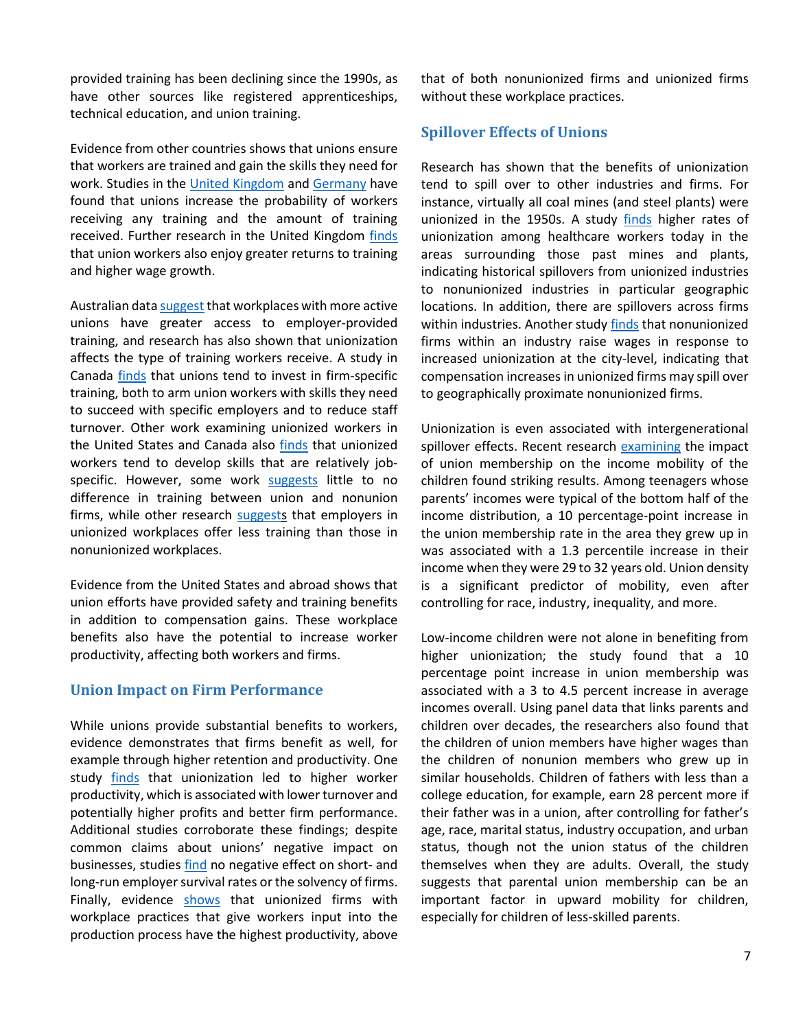provided training has been declining since the 1990s, as have other sources like registered apprenticeships, technical education, and union training.

Evidence from other countries shows that unions ensure that workers are trained and gain the skills they need for work. Studies in the United [Kingdom](http://www.jstor.org/stable/2525161) an[d Germany](http://www.mitpressjournals.org/doi/abs/10.1162/rest.91.2.363%23.VdYbAvlVhBc) have found that unions increase the probability of workers receiving any training and the amount of training received. Further research in the United Kingdom [finds](http://ilr.sagepub.com/content/57/1/68.short) that union workers also enjoy greater returns to training and higher wage growth.

Australian dat[a suggest](http://onlinelibrary.wiley.com/doi/10.1111/j.1467-8543.1994.tb01051.x/abstract) that workplaces with more active unions have greater access to employer-provided training, and research has also shown that unionization affects the type of training workers receive. A study in Canada [finds](http://www.statcan.gc.ca/studies-etudes/81-003/feature-caracteristique/5018902-eng.pdf) that unions tend to invest in firm-specific training, both to arm union workers with skills they need to succeed with specific employers and to reduce staff turnover. Other work examining unionized workers in the United States and Canada also [finds](http://www.jstor.org/stable/10.1086/209935) that unionized workers tend to develop skills that are relatively jobspecific. However, some work [suggests](http://www.jstor.org/stable/2525243) little to no difference in training between union and nonunion firms, while other research [suggests](http://www.jstor.org/stable/pdf/2695968.pdf?acceptTC=true) that employers in unionized workplaces offer less training than those in nonunionized workplaces.

Evidence from the United States and abroad shows that union efforts have provided safety and training benefits in addition to compensation gains. These workplace benefits also have the potential to increase worker productivity, affecting both workers and firms.

### **Union Impact on Firm Performance**

While unions provide substantial benefits to workers, evidence demonstrates that firms benefit as well, for example through higher retention and productivity. One study [finds](http://ilr.sagepub.com/content/68/4/771.abstract) that unionization led to higher worker productivity, which is associated with lower turnover and potentially higher profits and better firm performance. Additional studies corroborate these findings; despite common claims about unions' negative impact on businesses, studies [find](http://www.nber.org/papers/w8993.pdf) no negative effect on short- and long-run employer survival rates or the solvency of firms. Finally, evidence [shows](http://www.jstor.org/stable/3211544) that unionized firms with workplace practices that give workers input into the production process have the highest productivity, above that of both nonunionized firms and unionized firms without these workplace practices.

# **Spillover Effects of Unions**

Research has shown that the benefits of unionization tend to spill over to other industries and firms. For instance, virtually all coal mines (and steel plants) were unionized in the 1950s. A study [finds](https://www.mpls.frb.org/research/sr/sr368.pdf) higher rates of unionization among healthcare workers today in the areas surrounding those past mines and plants, indicating historical spillovers from unionized industries to nonunionized industries in particular geographic locations. In addition, there are spillovers across firms within industries. Another study [finds](http://ilr.sagepub.com/content/49/1/20.short) that nonunionized firms within an industry raise wages in response to increased unionization at the city-level, indicating that compensation increases in unionized firms may spill over to geographically proximate nonunionized firms.

Unionization is even associated with intergenerational spillover effects. Recent research [examining](https://cdn.americanprogress.org/wp-content/uploads/2015/09/08130545/UnionsMobility-report-9.9.pdf) the impact of union membership on the income mobility of the children found striking results. Among teenagers whose parents' incomes were typical of the bottom half of the income distribution, a 10 percentage-point increase in the union membership rate in the area they grew up in was associated with a 1.3 percentile increase in their income when they were 29 to 32 years old. Union density is a significant predictor of mobility, even after controlling for race, industry, inequality, and more.

Low-income children were not alone in benefiting from higher unionization; the study found that a 10 percentage point increase in union membership was associated with a 3 to 4.5 percent increase in average incomes overall. Using panel data that links parents and children over decades, the researchers also found that the children of union members have higher wages than the children of nonunion members who grew up in similar households. Children of fathers with less than a college education, for example, earn 28 percent more if their father was in a union, after controlling for father's age, race, marital status, industry occupation, and urban status, though not the union status of the children themselves when they are adults. Overall, the study suggests that parental union membership can be an important factor in upward mobility for children, especially for children of less-skilled parents.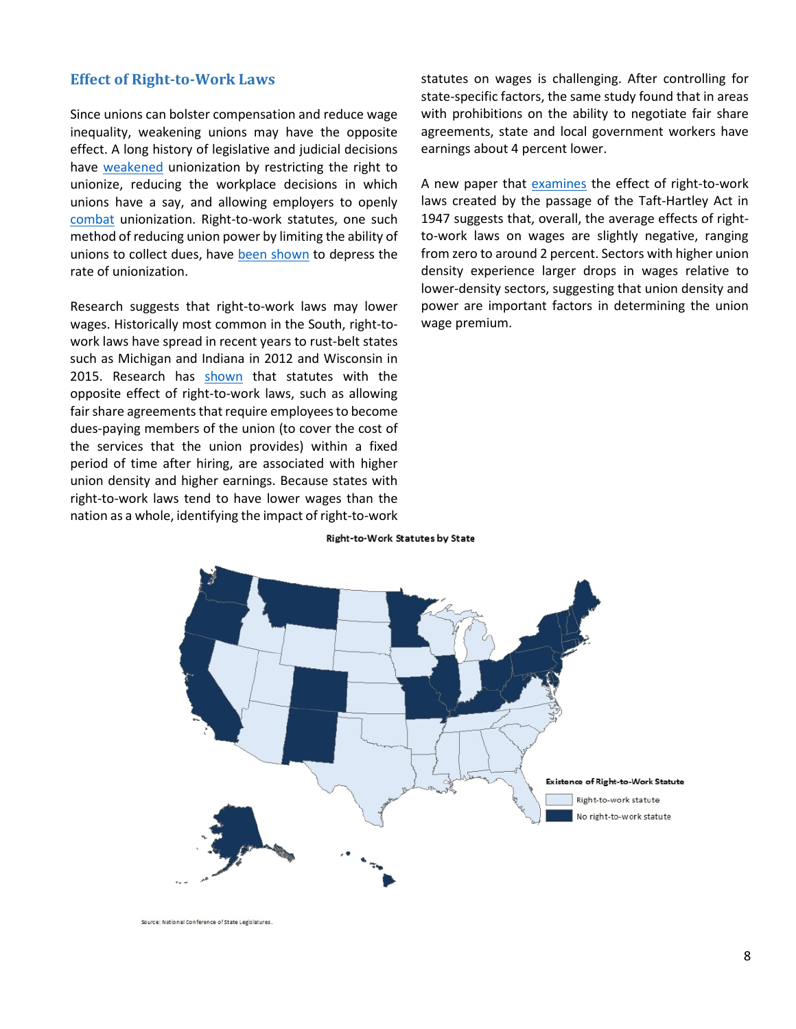## **Effect of Right-to-Work Laws**

Since unions can bolster compensation and reduce wage inequality, weakening unions may have the opposite effect. A long history of legislative and judicial decisions have [weakened](http://www.cbpp.org/sites/default/files/atoms/files/4-2-14fe-eisenbrey.pdf) unionization by restricting the right to unionize, reducing the workplace decisions in which unions have a say, and allowing employers to openly [combat](http://www.epi.org/files/page/-/pdf/bp235.pdf) unionization. Right-to-work statutes, one such method of reducing union power by limiting the ability of unions to collect dues, have [been shown](http://www.jstor.org/stable/1832071?seq=1%23page_scan_tab_contents) to depress the rate of unionization.

Research suggests that right-to-work laws may lower wages. Historically most common in the South, right-towork laws have spread in recent years to rust-belt states such as Michigan and Indiana in 2012 and Wisconsin in 2015. Research has [shown](http://core.ac.uk/download/pdf/6894934.pdf) that statutes with the opposite effect of right-to-work laws, such as allowing fair share agreements that require employees to become dues-paying members of the union (to cover the cost of the services that the union provides) within a fixed period of time after hiring, are associated with higher union density and higher earnings. Because states with right-to-work laws tend to have lower wages than the nation as a whole, identifying the impact of right-to-work

statutes on wages is challenging. After controlling for state-specific factors, the same study found that in areas with prohibitions on the ability to negotiate fair share agreements, state and local government workers have earnings about 4 percent lower.

A new paper that [examines](http://www3.nd.edu/%7Ekrinz/Rinz_RTW.pdf) the effect of right-to-work laws created by the passage of the Taft-Hartley Act in 1947 suggests that, overall, the average effects of rightto-work laws on wages are slightly negative, ranging from zero to around 2 percent. Sectors with higher union density experience larger drops in wages relative to lower-density sectors, suggesting that union density and power are important factors in determining the union wage premium.



**Right-to-Work Statutes by State** 

Source: National Conference of State Legislatures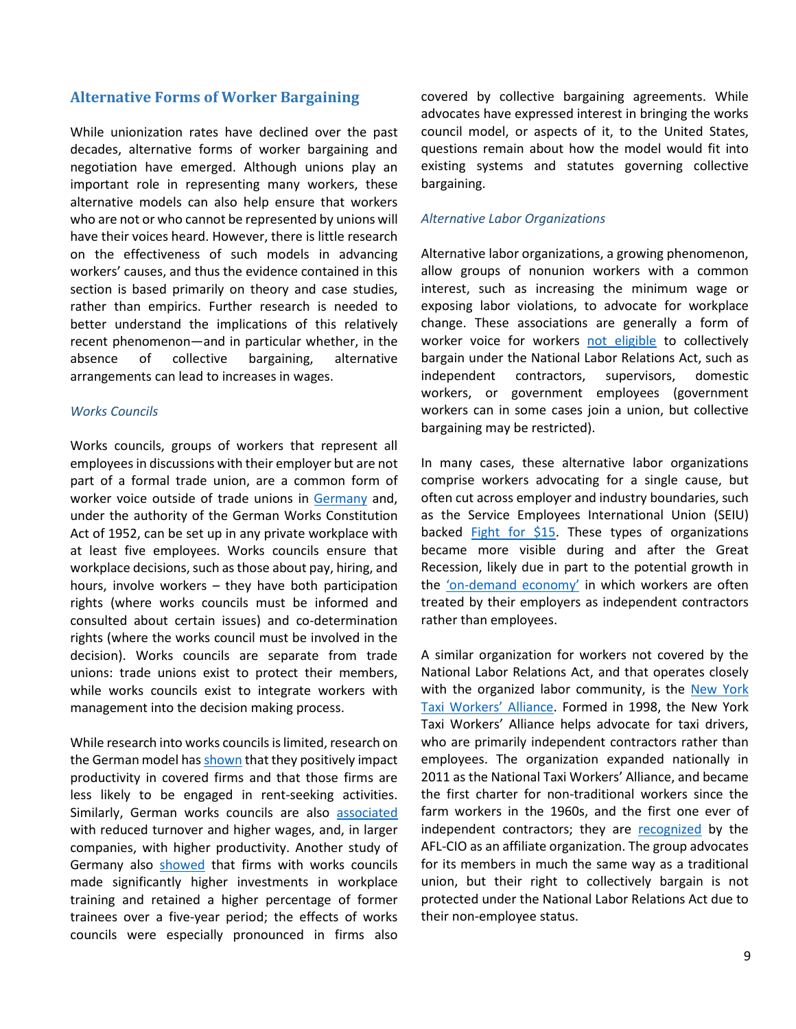#### **Alternative Forms of Worker Bargaining**

While unionization rates have declined over the past decades, alternative forms of worker bargaining and negotiation have emerged. Although unions play an important role in representing many workers, these alternative models can also help ensure that workers who are not or who cannot be represented by unions will have their voices heard. However, there is little research on the effectiveness of such models in advancing workers' causes, and thus the evidence contained in this section is based primarily on theory and case studies, rather than empirics. Further research is needed to better understand the implications of this relatively recent phenomenon—and in particular whether, in the absence of collective bargaining, alternative arrangements can lead to increases in wages.

#### *Works Councils*

Works councils, groups of workers that represent all employees in discussions with their employer but are not part of a formal trade union, are a common form of worker voice outside of trade unions in [Germany](http://www.worker-participation.eu/National-Industrial-Relations/Countries/Germany/Workplace-Representation) and, under the authority of the German Works Constitution Act of 1952, can be set up in any private workplace with at least five employees. Works councils ensure that workplace decisions, such as those about pay, hiring, and hours, involve workers – they have both participation rights (where works councils must be informed and consulted about certain issues) and co-determination rights (where the works council must be involved in the decision). Works councils are separate from trade unions: trade unions exist to protect their members, while works councils exist to integrate workers with management into the decision making process.

While research into works councils is limited, research on the German model has [shown](http://www.econstor.eu/bitstream/10419/21178/1/dp322.pdf) that they positively impact productivity in covered firms and that those firms are less likely to be engaged in rent-seeking activities. Similarly, German works councils are also [associated](http://oep.oxfordjournals.org/content/53/4/659.full.pdf) with reduced turnover and higher wages, and, in larger companies, with higher productivity. Another study of Germany also [showed](http://onlinelibrary.wiley.com/doi/10.1111/irel.12061/abstract) that firms with works councils made significantly higher investments in workplace training and retained a higher percentage of former trainees over a five-year period; the effects of works councils were especially pronounced in firms also

covered by collective bargaining agreements. While advocates have expressed interest in bringing the works council model, or aspects of it, to the United States, questions remain about how the model would fit into existing systems and statutes governing collective bargaining.

#### *Alternative Labor Organizations*

Alternative labor organizations, a growing phenomenon, allow groups of nonunion workers with a common interest, such as increasing the minimum wage or exposing labor violations, to advocate for workplace change. These associations are generally a form of worker voice for workers [not eligible](https://www.nlrb.gov/rights-we-protect/employee-rights) to collectively bargain under the National Labor Relations Act, such as independent contractors, supervisors, domestic workers, or government employees (government workers can in some cases join a union, but collective bargaining may be restricted).

In many cases, these alternative labor organizations comprise workers advocating for a single cause, but often cut across employer and industry boundaries, such as the Service Employees International Union (SEIU) backed [Fight for \\$15.](http://fightfor15.org/) These types of organizations became more visible during and after the Great Recession, likely due in part to the potential growth in the ['on-demand economy'](http://www.nytimes.com/2015/07/13/business/rising-economic-insecurity-tied-to-decades-long-trend-in-employment-practices.html) in which workers are often treated by their employers as independent contractors rather than employees.

A similar organization for workers not covered by the National Labor Relations Act, and that operates closely with the organized labor community, is the New York [Taxi Workers' Alliance.](https://www.nytwa.org/) Formed in 1998, the New York Taxi Workers' Alliance helps advocate for taxi drivers, who are primarily independent contractors rather than employees. The organization expanded nationally in 2011 as the National Taxi Workers' Alliance, and became the first charter for non-traditional workers since the farm workers in the 1960s, and the first one ever of independent contractors; they are [recognized](https://www.nytwa.org/mission-and-history/) by the AFL-CIO as an affiliate organization. The group advocates for its members in much the same way as a traditional union, but their right to collectively bargain is not protected under the National Labor Relations Act due to their non-employee status.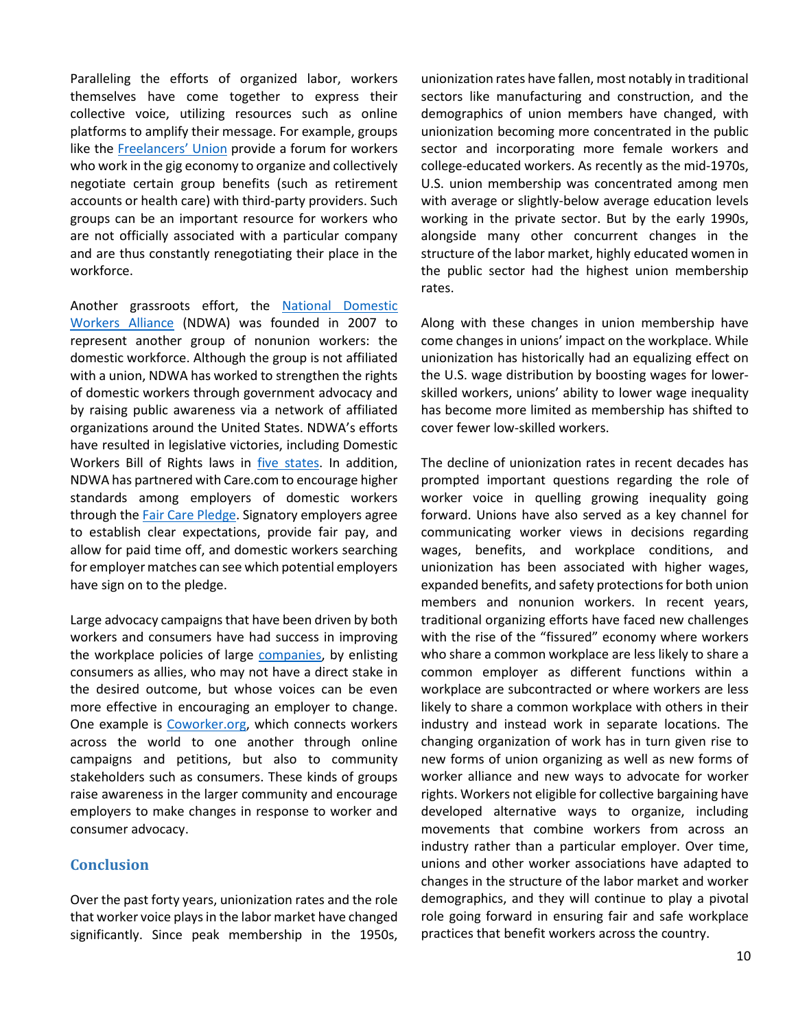Paralleling the efforts of organized labor, workers themselves have come together to express their collective voice, utilizing resources such as online platforms to amplify their message. For example, groups like the [Freelancers' Union](https://www.freelancersunion.org/about/history.html) provide a forum for workers who work in the gig economy to organize and collectively negotiate certain group benefits (such as retirement accounts or health care) with third-party providers. Such groups can be an important resource for workers who are not officially associated with a particular company and are thus constantly renegotiating their place in the workforce.

Another grassroots effort, the National Domestic [Workers Alliance](http://www.domesticworkers.org/who-we-are) (NDWA) was founded in 2007 to represent another group of nonunion workers: the domestic workforce. Although the group is not affiliated with a union, NDWA has worked to strengthen the rights of domestic workers through government advocacy and by raising public awareness via a network of affiliated organizations around the United States. NDWA's efforts have resulted in legislative victories, including Domestic Workers Bill of Rights laws in [five states.](http://www.oregonlive.com/business/index.ssf/2015/06/oregons_domestic_workers_gain.html) In addition, NDWA has partnered with Care.com to encourage higher standards among employers of domestic workers through the **Fair Care Pledge**. Signatory employers agree to establish clear expectations, provide fair pay, and allow for paid time off, and domestic workers searching for employer matches can see which potential employers have sign on to the pledge.

Large advocacy campaigns that have been driven by both workers and consumers have had success in improving the workplace policies of large [companies,](http://www.theguardian.com/environment/green-living-blog/2012/jul/06/activism-nike) by enlisting consumers as allies, who may not have a direct stake in the desired outcome, but whose voices can be even more effective in encouraging an employer to change. One example is [Coworker.org,](https://www.coworker.org/) which connects workers across the world to one another through online campaigns and petitions, but also to community stakeholders such as consumers. These kinds of groups raise awareness in the larger community and encourage employers to make changes in response to worker and consumer advocacy.

# **Conclusion**

Over the past forty years, unionization rates and the role that worker voice plays in the labor market have changed significantly. Since peak membership in the 1950s,

unionization rates have fallen, most notably in traditional sectors like manufacturing and construction, and the demographics of union members have changed, with unionization becoming more concentrated in the public sector and incorporating more female workers and college-educated workers. As recently as the mid-1970s, U.S. union membership was concentrated among men with average or slightly-below average education levels working in the private sector. But by the early 1990s, alongside many other concurrent changes in the structure of the labor market, highly educated women in the public sector had the highest union membership rates.

Along with these changes in union membership have come changes in unions' impact on the workplace. While unionization has historically had an equalizing effect on the U.S. wage distribution by boosting wages for lowerskilled workers, unions' ability to lower wage inequality has become more limited as membership has shifted to cover fewer low-skilled workers.

The decline of unionization rates in recent decades has prompted important questions regarding the role of worker voice in quelling growing inequality going forward. Unions have also served as a key channel for communicating worker views in decisions regarding wages, benefits, and workplace conditions, and unionization has been associated with higher wages, expanded benefits, and safety protections for both union members and nonunion workers. In recent years, traditional organizing efforts have faced new challenges with the rise of the "fissured" economy where workers who share a common workplace are less likely to share a common employer as different functions within a workplace are subcontracted or where workers are less likely to share a common workplace with others in their industry and instead work in separate locations. The changing organization of work has in turn given rise to new forms of union organizing as well as new forms of worker alliance and new ways to advocate for worker rights. Workers not eligible for collective bargaining have developed alternative ways to organize, including movements that combine workers from across an industry rather than a particular employer. Over time, unions and other worker associations have adapted to changes in the structure of the labor market and worker demographics, and they will continue to play a pivotal role going forward in ensuring fair and safe workplace practices that benefit workers across the country.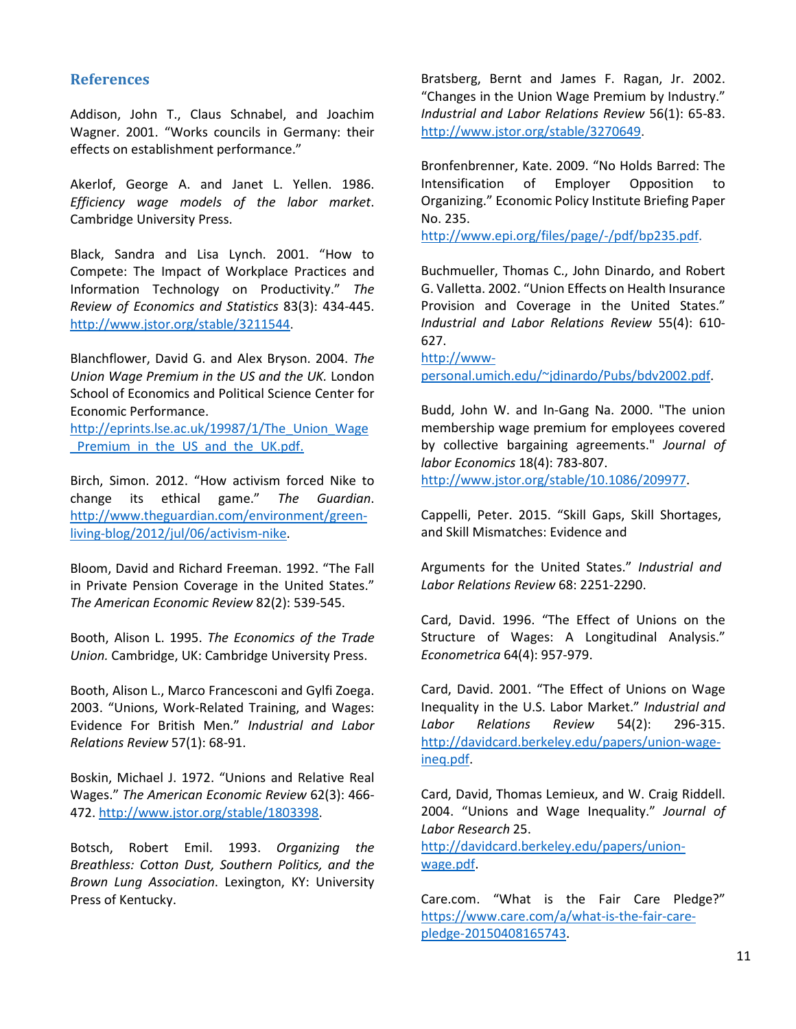# **References**

Addison, John T., Claus Schnabel, and Joachim Wagner. 2001. "Works councils in Germany: their effects on establishment performance."

Akerlof, George A. and Janet L. Yellen. 1986. *Efficiency wage models of the labor market*. Cambridge University Press.

Black, Sandra and Lisa Lynch. 2001. "How to Compete: The Impact of Workplace Practices and Information Technology on Productivity." *The Review of Economics and Statistics* 83(3): 434-445. [http://www.jstor.org/stable/3211544.](http://www.jstor.org/stable/3211544)

Blanchflower, David G. and Alex Bryson. 2004. *The Union Wage Premium in the US and the UK.* London School of Economics and Political Science Center for Economic Performance.

[http://eprints.lse.ac.uk/19987/1/The\\_Union\\_Wage](http://eprints.lse.ac.uk/19987/1/The_Union_Wage_Premium_in_the_US_and_the_UK.pdf) Premium in the US and the UK.pdf.

Birch, Simon. 2012. "How activism forced Nike to change its ethical game." *The Guardian*. [http://www.theguardian.com/environment/green](http://www.theguardian.com/environment/green-living-blog/2012/jul/06/activism-nike)[living-blog/2012/jul/06/activism-nike.](http://www.theguardian.com/environment/green-living-blog/2012/jul/06/activism-nike)

Bloom, David and Richard Freeman. 1992. "The Fall in Private Pension Coverage in the United States." *The American Economic Review* 82(2): 539-545.

Booth, Alison L. 1995. *The Economics of the Trade Union.* Cambridge, UK: Cambridge University Press.

Booth, Alison L., Marco Francesconi and Gylfi Zoega. 2003. "Unions, Work-Related Training, and Wages: Evidence For British Men." *Industrial and Labor Relations Review* 57(1): 68-91.

Boskin, Michael J. 1972. "Unions and Relative Real Wages." *The American Economic Review* 62(3): 466- 472. [http://www.jstor.org/stable/1803398.](http://www.jstor.org/stable/1803398)

Botsch, Robert Emil. 1993. *Organizing the Breathless: Cotton Dust, Southern Politics, and the Brown Lung Association*. Lexington, KY: University Press of Kentucky.

Bratsberg, Bernt and James F. Ragan, Jr. 2002. "Changes in the Union Wage Premium by Industry." *Industrial and Labor Relations Review* 56(1): 65-83. [http://www.jstor.org/stable/3270649.](http://www.jstor.org/stable/3270649)

Bronfenbrenner, Kate. 2009. "No Holds Barred: The Intensification of Employer Opposition to Organizing." Economic Policy Institute Briefing Paper No. 235.

[http://www.epi.org/files/page/-/pdf/bp235.pdf.](http://www.epi.org/files/page/-/pdf/bp235.pdf)

Buchmueller, Thomas C., John Dinardo, and Robert G. Valletta. 2002. "Union Effects on Health Insurance Provision and Coverage in the United States." *Industrial and Labor Relations Review* 55(4): 610- 627.

[http://www-](http://www-personal.umich.edu/%7Ejdinardo/Pubs/bdv2002.pdf)

[personal.umich.edu/~jdinardo/Pubs/bdv2002.pdf.](http://www-personal.umich.edu/%7Ejdinardo/Pubs/bdv2002.pdf)

Budd, John W. and In-Gang Na. 2000. "The union membership wage premium for employees covered by collective bargaining agreements." *Journal of labor Economics* 18(4): 783-807.

[http://www.jstor.org/stable/10.1086/209977.](http://www.jstor.org/stable/10.1086/209977)

Cappelli, Peter. 2015. "Skill Gaps, Skill Shortages, and Skill Mismatches: Evidence and

Arguments for the United States." *Industrial and Labor Relations Review* 68: 2251-2290.

Card, David. 1996. "The Effect of Unions on the Structure of Wages: A Longitudinal Analysis." *Econometrica* 64(4): 957-979.

Card, David. 2001. "The Effect of Unions on Wage Inequality in the U.S. Labor Market." *Industrial and Labor Relations Review* 54(2): 296-315. [http://davidcard.berkeley.edu/papers/union-wage](http://davidcard.berkeley.edu/papers/union-wage-ineq.pdf)[ineq.pdf.](http://davidcard.berkeley.edu/papers/union-wage-ineq.pdf)

Card, David, Thomas Lemieux, and W. Craig Riddell. 2004. "Unions and Wage Inequality." *Journal of Labor Research* 25.

[http://davidcard.berkeley.edu/papers/union](http://davidcard.berkeley.edu/papers/union-wage.pdf)[wage.pdf.](http://davidcard.berkeley.edu/papers/union-wage.pdf)

Care.com. "What is the Fair Care Pledge?" [https://www.care.com/a/what-is-the-fair-care](https://www.care.com/a/what-is-the-fair-care-pledge-20150408165743)[pledge-20150408165743.](https://www.care.com/a/what-is-the-fair-care-pledge-20150408165743)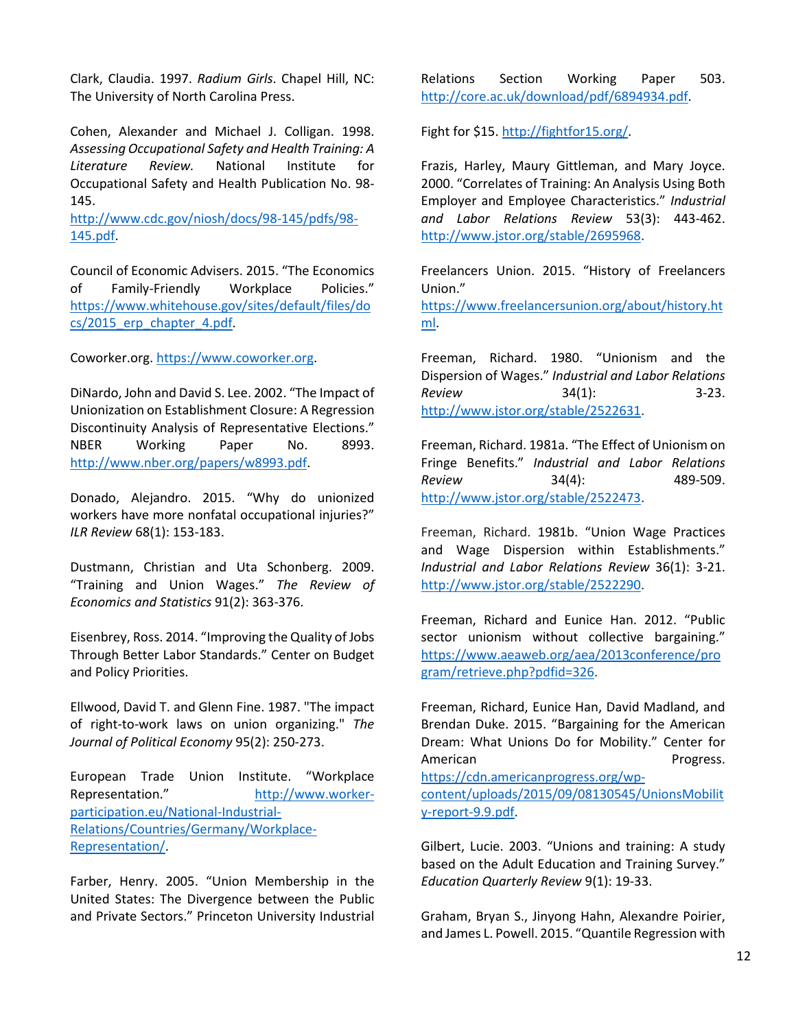Clark, Claudia. 1997. *Radium Girls*. Chapel Hill, NC: The University of North Carolina Press.

Cohen, Alexander and Michael J. Colligan. 1998. *Assessing Occupational Safety and Health Training: A Literature Review.* National Institute for Occupational Safety and Health Publication No. 98- 145.

[http://www.cdc.gov/niosh/docs/98-145/pdfs/98-](http://www.cdc.gov/niosh/docs/98-145/pdfs/98-145.pdf) [145.pdf.](http://www.cdc.gov/niosh/docs/98-145/pdfs/98-145.pdf)

Council of Economic Advisers. 2015. "The Economics of Family-Friendly Workplace Policies." [https://www.whitehouse.gov/sites/default/files/do](https://www.whitehouse.gov/sites/default/files/docs/2015_erp_chapter_4.pdf) [cs/2015\\_erp\\_chapter\\_4.pdf.](https://www.whitehouse.gov/sites/default/files/docs/2015_erp_chapter_4.pdf)

Coworker.org. [https://www.coworker.org.](https://www.coworker.org/)

DiNardo, John and David S. Lee. 2002. "The Impact of Unionization on Establishment Closure: A Regression Discontinuity Analysis of Representative Elections." NBER Working Paper No. 8993. [http://www.nber.org/papers/w8993.pdf.](http://www.nber.org/papers/w8993.pdf)

Donado, Alejandro. 2015. "Why do unionized workers have more nonfatal occupational injuries?" *ILR Review* 68(1): 153-183.

Dustmann, Christian and Uta Schonberg. 2009. "Training and Union Wages." *The Review of Economics and Statistics* 91(2): 363-376.

Eisenbrey, Ross. 2014. "Improving the Quality of Jobs Through Better Labor Standards." Center on Budget and Policy Priorities.

Ellwood, David T. and Glenn Fine. 1987. "The impact of right-to-work laws on union organizing." *The Journal of Political Economy* 95(2): 250-273.

European Trade Union Institute. "Workplace Representation." [http://www.worker](http://www.worker-participation.eu/National-Industrial-Relations/Countries/Germany/Workplace-Representation/)[participation.eu/National-Industrial-](http://www.worker-participation.eu/National-Industrial-Relations/Countries/Germany/Workplace-Representation/)[Relations/Countries/Germany/Workplace-](http://www.worker-participation.eu/National-Industrial-Relations/Countries/Germany/Workplace-Representation/)[Representation/.](http://www.worker-participation.eu/National-Industrial-Relations/Countries/Germany/Workplace-Representation/)

Farber, Henry. 2005. "Union Membership in the United States: The Divergence between the Public and Private Sectors." Princeton University Industrial Relations Section Working Paper 503. [http://core.ac.uk/download/pdf/6894934.pdf.](http://core.ac.uk/download/pdf/6894934.pdf)

Fight for \$15. [http://fightfor15.org/.](http://fightfor15.org/)

Frazis, Harley, Maury Gittleman, and Mary Joyce. 2000. "Correlates of Training: An Analysis Using Both Employer and Employee Characteristics." *Industrial and Labor Relations Review* 53(3): 443-462. [http://www.jstor.org/stable/2695968.](http://www.jstor.org/stable/2695968)

Freelancers Union. 2015. "History of Freelancers Union."

[https://www.freelancersunion.org/about/history.ht](https://www.freelancersunion.org/about/history.html) [ml.](https://www.freelancersunion.org/about/history.html)

Freeman, Richard. 1980. "Unionism and the Dispersion of Wages." *Industrial and Labor Relations Review* 34(1): 3-23. [http://www.jstor.org/stable/2522631.](http://www.jstor.org/stable/2522631)

Freeman, Richard. 1981a. "The Effect of Unionism on Fringe Benefits." *Industrial and Labor Relations Review* 34(4): 489-509. [http://www.jstor.org/stable/2522473.](http://www.jstor.org/stable/2522473)

Freeman, Richard. 1981b. "Union Wage Practices and Wage Dispersion within Establishments." *Industrial and Labor Relations Review* 36(1): 3-21. [http://www.jstor.org/stable/2522290.](http://www.jstor.org/stable/2522290)

Freeman, Richard and Eunice Han. 2012. "Public sector unionism without collective bargaining." [https://www.aeaweb.org/aea/2013conference/pro](https://www.aeaweb.org/aea/2013conference/program/retrieve.php?pdfid=326) [gram/retrieve.php?pdfid=326.](https://www.aeaweb.org/aea/2013conference/program/retrieve.php?pdfid=326)

Freeman, Richard, Eunice Han, David Madland, and Brendan Duke. 2015. "Bargaining for the American Dream: What Unions Do for Mobility." Center for American **Progress.** 

[https://cdn.americanprogress.org/wp](https://cdn.americanprogress.org/wp-content/uploads/2015/09/08130545/UnionsMobility-report-9.9.pdf)[content/uploads/2015/09/08130545/UnionsMobilit](https://cdn.americanprogress.org/wp-content/uploads/2015/09/08130545/UnionsMobility-report-9.9.pdf) [y-report-9.9.pdf.](https://cdn.americanprogress.org/wp-content/uploads/2015/09/08130545/UnionsMobility-report-9.9.pdf)

Gilbert, Lucie. 2003. "Unions and training: A study based on the Adult Education and Training Survey." *Education Quarterly Review* 9(1): 19-33.

Graham, Bryan S., Jinyong Hahn, Alexandre Poirier, and James L. Powell. 2015. "Quantile Regression with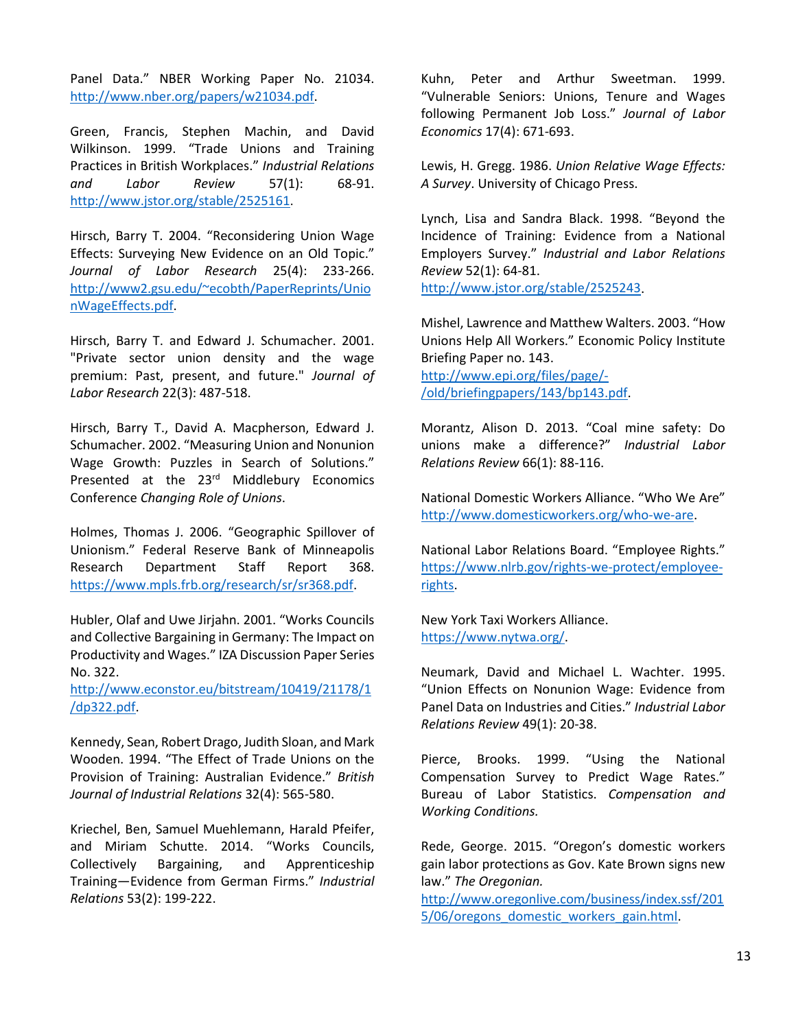Panel Data." NBER Working Paper No. 21034. [http://www.nber.org/papers/w21034.pdf.](http://www.nber.org/papers/w21034.pdf)

Green, Francis, Stephen Machin, and David Wilkinson. 1999. "Trade Unions and Training Practices in British Workplaces." *Industrial Relations and Labor Review* 57(1): 68-91. [http://www.jstor.org/stable/2525161.](http://www.jstor.org/stable/2525161)

Hirsch, Barry T. 2004. "Reconsidering Union Wage Effects: Surveying New Evidence on an Old Topic." *Journal of Labor Research* 25(4): 233-266. [http://www2.gsu.edu/~ecobth/PaperReprints/Unio](http://www2.gsu.edu/%7Eecobth/PaperReprints/UnionWageEffects.pdf) [nWageEffects.pdf.](http://www2.gsu.edu/%7Eecobth/PaperReprints/UnionWageEffects.pdf)

Hirsch, Barry T. and Edward J. Schumacher. 2001. "Private sector union density and the wage premium: Past, present, and future." *Journal of Labor Research* 22(3): 487-518.

Hirsch, Barry T., David A. Macpherson, Edward J. Schumacher. 2002. "Measuring Union and Nonunion Wage Growth: Puzzles in Search of Solutions." Presented at the 23<sup>rd</sup> Middlebury Economics Conference *Changing Role of Unions*.

Holmes, Thomas J. 2006. "Geographic Spillover of Unionism." Federal Reserve Bank of Minneapolis Research Department Staff Report 368. [https://www.mpls.frb.org/research/sr/sr368.pdf.](https://www.mpls.frb.org/research/sr/sr368.pdf)

Hubler, Olaf and Uwe Jirjahn. 2001. "Works Councils and Collective Bargaining in Germany: The Impact on Productivity and Wages." IZA Discussion Paper Series No. 322.

[http://www.econstor.eu/bitstream/10419/21178/1](http://www.econstor.eu/bitstream/10419/21178/1/dp322.pdf) [/dp322.pdf.](http://www.econstor.eu/bitstream/10419/21178/1/dp322.pdf)

Kennedy, Sean, Robert Drago, Judith Sloan, and Mark Wooden. 1994. "The Effect of Trade Unions on the Provision of Training: Australian Evidence." *British Journal of Industrial Relations* 32(4): 565-580.

Kriechel, Ben, Samuel Muehlemann, Harald Pfeifer, and Miriam Schutte. 2014. "Works Councils, Collectively Bargaining, and Apprenticeship Training—Evidence from German Firms." *Industrial Relations* 53(2): 199-222.

Kuhn, Peter and Arthur Sweetman. 1999. "Vulnerable Seniors: Unions, Tenure and Wages following Permanent Job Loss." *Journal of Labor Economics* 17(4): 671-693.

Lewis, H. Gregg. 1986. *Union Relative Wage Effects: A Survey*. University of Chicago Press.

Lynch, Lisa and Sandra Black. 1998. "Beyond the Incidence of Training: Evidence from a National Employers Survey." *Industrial and Labor Relations Review* 52(1): 64-81.

[http://www.jstor.org/stable/2525243.](http://www.jstor.org/stable/2525243)

Mishel, Lawrence and Matthew Walters. 2003. "How Unions Help All Workers." Economic Policy Institute Briefing Paper no. 143.

[http://www.epi.org/files/page/-](http://www.epi.org/files/page/-/old/briefingpapers/143/bp143.pdf) [/old/briefingpapers/143/bp143.pdf.](http://www.epi.org/files/page/-/old/briefingpapers/143/bp143.pdf)

Morantz, Alison D. 2013. "Coal mine safety: Do unions make a difference?" *Industrial Labor Relations Review* 66(1): 88-116.

National Domestic Workers Alliance. "Who We Are" [http://www.domesticworkers.org/who-we-are.](http://www.domesticworkers.org/who-we-are)

National Labor Relations Board. "Employee Rights." [https://www.nlrb.gov/rights-we-protect/employee](https://www.nlrb.gov/rights-we-protect/employee-rights)[rights.](https://www.nlrb.gov/rights-we-protect/employee-rights)

New York Taxi Workers Alliance. [https://www.nytwa.org/.](https://www.nytwa.org/)

Neumark, David and Michael L. Wachter. 1995. "Union Effects on Nonunion Wage: Evidence from Panel Data on Industries and Cities." *Industrial Labor Relations Review* 49(1): 20-38.

Pierce, Brooks. 1999. "Using the National Compensation Survey to Predict Wage Rates." Bureau of Labor Statistics. *Compensation and Working Conditions.* 

Rede, George. 2015. "Oregon's domestic workers gain labor protections as Gov. Kate Brown signs new law." *The Oregonian.*

[http://www.oregonlive.com/business/index.ssf/201](http://www.oregonlive.com/business/index.ssf/2015/06/oregons_domestic_workers_gain.html) [5/06/oregons\\_domestic\\_workers\\_gain.html.](http://www.oregonlive.com/business/index.ssf/2015/06/oregons_domestic_workers_gain.html)